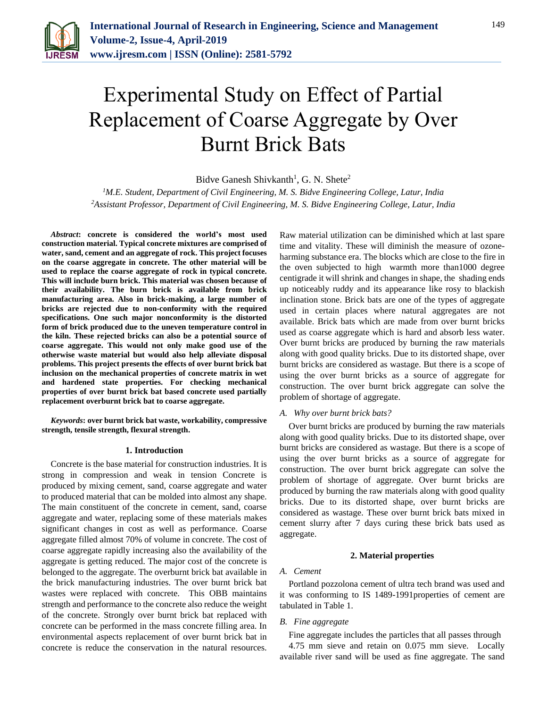

# Experimental Study on Effect of Partial Replacement of Coarse Aggregate by Over Burnt Brick Bats

Bidve Ganesh Shivkanth<sup>1</sup>, G. N. Shete<sup>2</sup>

*<sup>1</sup>M.E. Student, Department of Civil Engineering, M. S. Bidve Engineering College, Latur, India 2Assistant Professor, Department of Civil Engineering, M. S. Bidve Engineering College, Latur, India*

*Abstract***: concrete is considered the world's most used construction material. Typical concrete mixtures are comprised of water, sand, cement and an aggregate of rock. This project focuses on the coarse aggregate in concrete. The other material will be used to replace the coarse aggregate of rock in typical concrete. This will include burn brick. This material was chosen because of their availability. The burn brick is available from brick manufacturing area. Also in brick-making, a large number of bricks are rejected due to non-conformity with the required specifications. One such major nonconformity is the distorted form of brick produced due to the uneven temperature control in the kiln. These rejected bricks can also be a potential source of coarse aggregate. This would not only make good use of the otherwise waste material but would also help alleviate disposal problems. This project presents the effects of over burnt brick bat inclusion on the mechanical properties of concrete matrix in wet and hardened state properties. For checking mechanical properties of over burnt brick bat based concrete used partially replacement overburnt brick bat to coarse aggregate.**

*Keywords***: over burnt brick bat waste, workability, compressive strength, tensile strength, flexural strength.**

#### **1. Introduction**

Concrete is the base material for construction industries. It is strong in compression and weak in tension Concrete is produced by mixing cement, sand, coarse aggregate and water to produced material that can be molded into almost any shape. The main constituent of the concrete in cement, sand, coarse aggregate and water, replacing some of these materials makes significant changes in cost as well as performance. Coarse aggregate filled almost 70% of volume in concrete. The cost of coarse aggregate rapidly increasing also the availability of the aggregate is getting reduced. The major cost of the concrete is belonged to the aggregate. The overburnt brick bat available in the brick manufacturing industries. The over burnt brick bat wastes were replaced with concrete. This OBB maintains strength and performance to the concrete also reduce the weight of the concrete. Strongly over burnt brick bat replaced with concrete can be performed in the mass concrete filling area. In environmental aspects replacement of over burnt brick bat in concrete is reduce the conservation in the natural resources. Raw material utilization can be diminished which at last spare time and vitality. These will diminish the measure of ozoneharming substance era. The blocks which are close to the fire in the oven subjected to high warmth more than1000 degree centigrade it will shrink and changes in shape, the shading ends up noticeably ruddy and its appearance like rosy to blackish inclination stone. Brick bats are one of the types of aggregate used in certain places where natural aggregates are not available. Brick bats which are made from over burnt bricks used as coarse aggregate which is hard and absorb less water. Over burnt bricks are produced by burning the raw materials along with good quality bricks. Due to its distorted shape, over burnt bricks are considered as wastage. But there is a scope of using the over burnt bricks as a source of aggregate for construction. The over burnt brick aggregate can solve the problem of shortage of aggregate.

#### *A. Why over burnt brick bats?*

Over burnt bricks are produced by burning the raw materials along with good quality bricks. Due to its distorted shape, over burnt bricks are considered as wastage. But there is a scope of using the over burnt bricks as a source of aggregate for construction. The over burnt brick aggregate can solve the problem of shortage of aggregate. Over burnt bricks are produced by burning the raw materials along with good quality bricks. Due to its distorted shape, over burnt bricks are considered as wastage. These over burnt brick bats mixed in cement slurry after 7 days curing these brick bats used as aggregate.

#### **2. Material properties**

#### *A. Cement*

Portland pozzolona cement of ultra tech brand was used and it was conforming to IS 1489-1991properties of cement are tabulated in Table 1.

#### *B. Fine aggregate*

Fine aggregate includes the particles that all passes through 4.75 mm sieve and retain on 0.075 mm sieve. Locally available river sand will be used as fine aggregate. The sand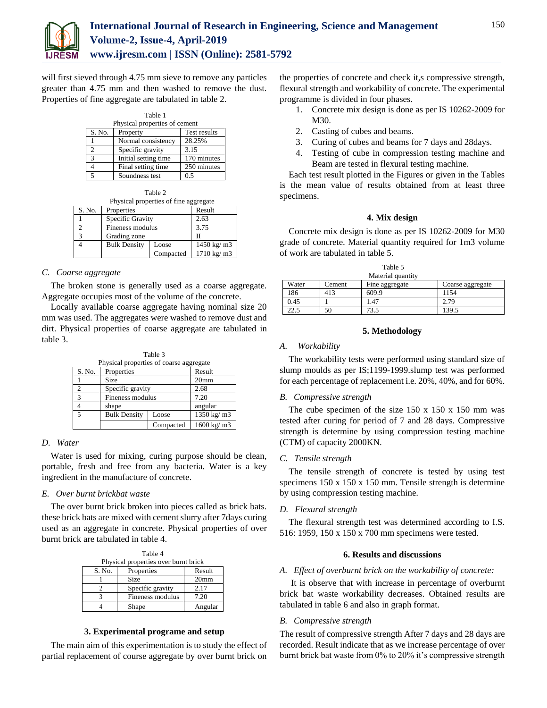

will first sieved through 4.75 mm sieve to remove any particles greater than 4.75 mm and then washed to remove the dust. Properties of fine aggregate are tabulated in table 2.

| Table 1                       |                      |              |  |
|-------------------------------|----------------------|--------------|--|
| Physical properties of cement |                      |              |  |
| S. No.                        | Property             | Test results |  |
|                               | Normal consistency   | 28.25%       |  |
| $\mathfrak{D}$                | Specific gravity     | 3.15         |  |
| $\mathbf{3}$                  | Initial setting time | 170 minutes  |  |
|                               | Final setting time   | 250 minutes  |  |
| 5                             | Soundness test       | 0.5          |  |

| Physical properties of fine aggregate |                     |           |             |
|---------------------------------------|---------------------|-----------|-------------|
| S. No.                                | Properties          |           | Result      |
|                                       | Specific Gravity    |           | 2.63        |
|                                       | Fineness modulus    |           | 3.75        |
| 3                                     | Grading zone        |           |             |
|                                       | <b>Bulk Density</b> | Loose     | 1450 kg/ m3 |
|                                       |                     | Compacted | 1710 kg/ m3 |

#### *C. Coarse aggregate*

The broken stone is generally used as a coarse aggregate. Aggregate occupies most of the volume of the concrete.

Locally available coarse aggregate having nominal size 20 mm was used. The aggregates were washed to remove dust and dirt. Physical properties of coarse aggregate are tabulated in table 3.

|        |                                         | Table 3   |                                |
|--------|-----------------------------------------|-----------|--------------------------------|
|        | Physical properties of coarse aggregate |           |                                |
| S. No. | Properties                              |           | Result                         |
|        | <b>Size</b>                             |           | 20 <sub>mm</sub>               |
| 2      | Specific gravity                        |           | 2.68                           |
| 3      | Fineness modulus                        |           | 7.20                           |
|        | shape                                   |           | angular                        |
| 5      | <b>Bulk Density</b>                     | Loose     | $1350 \text{ kg} / \text{m}$ 3 |
|        |                                         | Compacted | $1600 \text{ kg} / \text{m}$ 3 |

#### *D. Water*

Water is used for mixing, curing purpose should be clean, portable, fresh and free from any bacteria. Water is a key ingredient in the manufacture of concrete.

#### *E. Over burnt brickbat waste*

The over burnt brick broken into pieces called as brick bats. these brick bats are mixed with cement slurry after 7days curing used as an aggregate in concrete. Physical properties of over burnt brick are tabulated in table 4.

Table 4 Physical properties over burnt brick S. No. Properties Result 1 Size 20mm 2 Specific gravity 2.17 3 Fineness modulus 7.20

# **3. Experimental programe and setup**

4 Shape Angular

The main aim of this experimentation is to study the effect of partial replacement of course aggregate by over burnt brick on

the properties of concrete and check it,s compressive strength, flexural strength and workability of concrete. The experimental programme is divided in four phases.

- 1. Concrete mix design is done as per IS 10262-2009 for M30.
- 2. Casting of cubes and beams.
- 3. Curing of cubes and beams for 7 days and 28days.
- 4. Testing of cube in compression testing machine and Beam are tested in flexural testing machine.

Each test result plotted in the Figures or given in the Tables is the mean value of results obtained from at least three specimens.

#### **4. Mix design**

Concrete mix design is done as per IS 10262-2009 for M30 grade of concrete. Material quantity required for 1m3 volume of work are tabulated in table 5.

| Table 5           |        |                |                  |
|-------------------|--------|----------------|------------------|
| Material quantity |        |                |                  |
| Water             | Cement | Fine aggregate | Coarse aggregate |
| 186               | 413    | 609.9          | 1154             |
| 0.45              |        | 1.47           | 2.79             |
| $2.5 -$           | 50     | 73.5           | 139.5            |

#### **5. Methodology**

#### *A. Workability*

The workability tests were performed using standard size of slump moulds as per IS;1199-1999.slump test was performed for each percentage of replacement i.e. 20%, 40%, and for 60%.

#### *B. Compressive strength*

The cube specimen of the size  $150 \times 150 \times 150$  mm was tested after curing for period of 7 and 28 days. Compressive strength is determine by using compression testing machine (CTM) of capacity 2000KN.

#### *C. Tensile strength*

The tensile strength of concrete is tested by using test specimens 150 x 150 x 150 mm. Tensile strength is determine by using compression testing machine.

# *D. Flexural strength*

The flexural strength test was determined according to I.S. 516: 1959, 150 x 150 x 700 mm specimens were tested.

#### **6. Results and discussions**

#### *A. Effect of overburnt brick on the workability of concrete:*

It is observe that with increase in percentage of overburnt brick bat waste workability decreases. Obtained results are tabulated in table 6 and also in graph format.

# *B. Compressive strength*

The result of compressive strength After 7 days and 28 days are recorded. Result indicate that as we increase percentage of over burnt brick bat waste from 0% to 20% it's compressive strength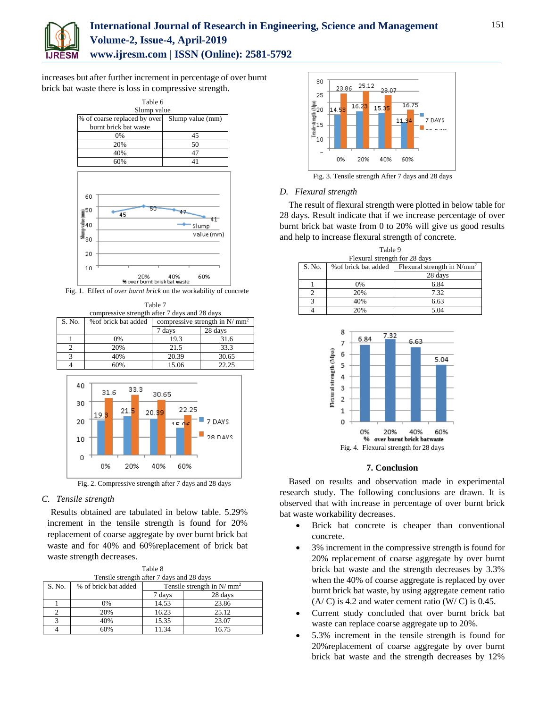

# **International Journal of Research in Engineering, Science and Management Volume-2, Issue-4, April-2019 www.ijresm.com | ISSN (Online): 2581-5792**

increases but after further increment in percentage of over burnt brick bat waste there is loss in compressive strength.



Fig. 1. Effect of *over burnt brick* on the workability of concrete

Table 7 compressive strength after 7 days and 28 days S. No.  $\int$  % of brick bat added compressive strength in N/ mm<sup>2</sup> 7 days 28 days 1 0% 19.3 31.6 2 20% 21.5 33.3 3 40% 20.39 30.65 4 60% 15.06 22.25 40 33.3  $31.6$ 30.65 30 22.25  $21.5$ 20.39 19. Ш 7 DAYS 20  $\overline{150}$ 28 DAVS 10 o 0% 20% 40% 60% Fig. 2. Compressive strength after 7 days and 28 days

# *C. Tensile strength*

Results obtained are tabulated in below table. 5.29% increment in the tensile strength is found for 20% replacement of coarse aggregate by over burnt brick bat waste and for 40% and 60%replacement of brick bat waste strength decreases.

| Table 8                                   |                      |                              |         |  |
|-------------------------------------------|----------------------|------------------------------|---------|--|
| Tensile strength after 7 days and 28 days |                      |                              |         |  |
| S. No.                                    | % of brick bat added | Tensile strength in $N/mm^2$ |         |  |
|                                           |                      | 7 days                       | 28 days |  |
|                                           | 0%                   | 14.53                        | 23.86   |  |
| ↑                                         | 20%                  | 16.23                        | 25.12   |  |
|                                           | 40%                  | 15.35                        | 23.07   |  |
|                                           | 60%                  | 11.34                        | 16.75   |  |



Fig. 3. Tensile strength After 7 days and 28 days

# *D. Flexural strength*

The result of flexural strength were plotted in below table for 28 days. Result indicate that if we increase percentage of over burnt brick bat waste from 0 to 20% will give us good results and help to increase flexural strength of concrete.

| Table 9                       |                                                       |         |  |
|-------------------------------|-------------------------------------------------------|---------|--|
| Flexural strength for 28 days |                                                       |         |  |
| S. No.                        | Flexural strength in $N/mm^2$<br>% of brick bat added |         |  |
|                               |                                                       | 28 days |  |
|                               | 0%                                                    | 6.84    |  |
|                               | 20%                                                   | 7.32    |  |
|                               | 40%                                                   | 6.63    |  |
|                               | 20%                                                   | 5.04    |  |



# **7. Conclusion**

Based on results and observation made in experimental research study. The following conclusions are drawn. It is observed that with increase in percentage of over burnt brick bat waste workability decreases.

- Brick bat concrete is cheaper than conventional concrete.
- 3% increment in the compressive strength is found for 20% replacement of coarse aggregate by over burnt brick bat waste and the strength decreases by 3.3% when the 40% of coarse aggregate is replaced by over burnt brick bat waste, by using aggregate cement ratio  $(A/C)$  is 4.2 and water cement ratio  $(W/C)$  is 0.45.
- Current study concluded that over burnt brick bat waste can replace coarse aggregate up to 20%.
- 5.3% increment in the tensile strength is found for 20%replacement of coarse aggregate by over burnt brick bat waste and the strength decreases by 12%